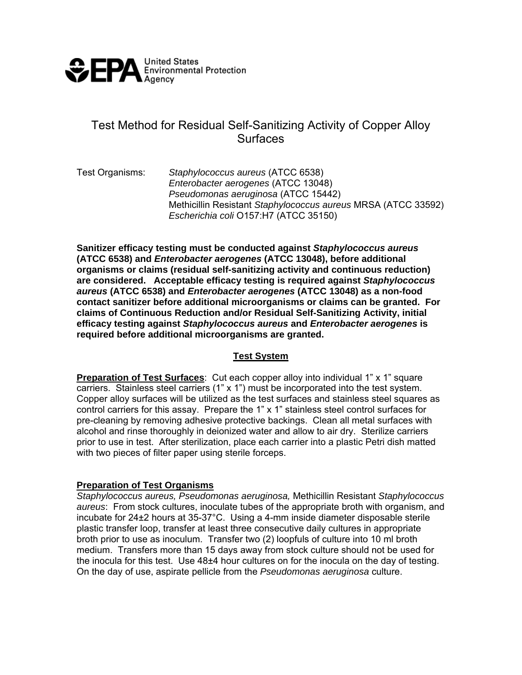

# Test Method for Residual Self-Sanitizing Activity of Copper Alloy **Surfaces**

Test Organisms: *Staphylococcus aureus* (ATCC 6538) *Enterobacter aerogenes* (ATCC 13048) *Pseudomonas aeruginosa* (ATCC 15442) Methicillin Resistant *Staphylococcus aureus* MRSA (ATCC 33592) *Escherichia coli* O157:H7 (ATCC 35150)

**Sanitizer efficacy testing must be conducted against** *Staphylococcus aureus* **(ATCC 6538) and** *Enterobacter aerogenes* **(ATCC 13048), before additional organisms or claims (residual self-sanitizing activity and continuous reduction) are considered. Acceptable efficacy testing is required against** *Staphylococcus aureus* **(ATCC 6538) and** *Enterobacter aerogenes* **(ATCC 13048) as a non-food contact sanitizer before additional microorganisms or claims can be granted. For claims of Continuous Reduction and/or Residual Self-Sanitizing Activity, initial efficacy testing against** *Staphylococcus aureus* **and** *Enterobacter aerogenes* **is required before additional microorganisms are granted.** 

### **Test System**

**Preparation of Test Surfaces:** Cut each copper alloy into individual 1" x 1" square carriers. Stainless steel carriers (1" x 1") must be incorporated into the test system. Copper alloy surfaces will be utilized as the test surfaces and stainless steel squares as control carriers for this assay. Prepare the 1" x 1" stainless steel control surfaces for pre-cleaning by removing adhesive protective backings. Clean all metal surfaces with alcohol and rinse thoroughly in deionized water and allow to air dry. Sterilize carriers prior to use in test. After sterilization, place each carrier into a plastic Petri dish matted with two pieces of filter paper using sterile forceps.

#### **Preparation of Test Organisms**

*Staphylococcus aureus, Pseudomonas aeruginosa,* Methicillin Resistant *Staphylococcus aureus*: From stock cultures, inoculate tubes of the appropriate broth with organism, and incubate for 24±2 hours at 35-37°C. Using a 4-mm inside diameter disposable sterile plastic transfer loop, transfer at least three consecutive daily cultures in appropriate broth prior to use as inoculum. Transfer two (2) loopfuls of culture into 10 ml broth medium. Transfers more than 15 days away from stock culture should not be used for the inocula for this test. Use 48±4 hour cultures on for the inocula on the day of testing. On the day of use, aspirate pellicle from the *Pseudomonas aeruginosa* culture.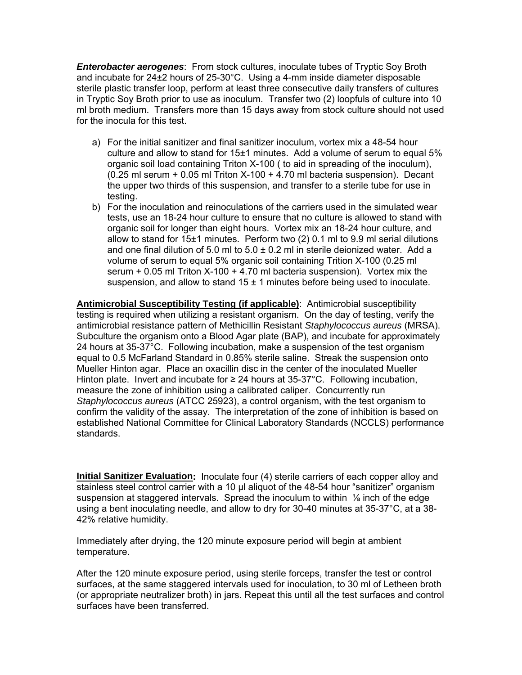*Enterobacter aerogenes*: From stock cultures, inoculate tubes of Tryptic Soy Broth and incubate for  $24\pm2$  hours of  $25\cdot30^{\circ}$ C. Using a 4-mm inside diameter disposable sterile plastic transfer loop, perform at least three consecutive daily transfers of cultures in Tryptic Soy Broth prior to use as inoculum. Transfer two (2) loopfuls of culture into 10 ml broth medium. Transfers more than 15 days away from stock culture should not used for the inocula for this test.

- a) For the initial sanitizer and final sanitizer inoculum, vortex mix a 48-54 hour culture and allow to stand for 15±1 minutes. Add a volume of serum to equal 5% organic soil load containing Triton X-100 ( to aid in spreading of the inoculum), (0.25 ml serum + 0.05 ml Triton X-100 + 4.70 ml bacteria suspension). Decant the upper two thirds of this suspension, and transfer to a sterile tube for use in testing.
- b) For the inoculation and reinoculations of the carriers used in the simulated wear tests, use an 18-24 hour culture to ensure that no culture is allowed to stand with organic soil for longer than eight hours. Vortex mix an 18-24 hour culture, and allow to stand for 15±1 minutes. Perform two (2) 0.1 ml to 9.9 ml serial dilutions and one final dilution of 5.0 ml to  $5.0 \pm 0.2$  ml in sterile deionized water. Add a volume of serum to equal 5% organic soil containing Trition X-100 (0.25 ml serum + 0.05 ml Triton X-100 + 4.70 ml bacteria suspension). Vortex mix the suspension, and allow to stand  $15 \pm 1$  minutes before being used to inoculate.

**Antimicrobial Susceptibility Testing (if applicable)**: Antimicrobial susceptibility testing is required when utilizing a resistant organism. On the day of testing, verify the antimicrobial resistance pattern of Methicillin Resistant *Staphylococcus aureus* (MRSA). Subculture the organism onto a Blood Agar plate (BAP), and incubate for approximately 24 hours at 35-37°C. Following incubation, make a suspension of the test organism equal to 0.5 McFarland Standard in 0.85% sterile saline. Streak the suspension onto Mueller Hinton agar. Place an oxacillin disc in the center of the inoculated Mueller Hinton plate. Invert and incubate for  $\geq 24$  hours at 35-37°C. Following incubation, measure the zone of inhibition using a calibrated caliper. Concurrently run *Staphylococcus aureus* (ATCC 25923), a control organism, with the test organism to confirm the validity of the assay. The interpretation of the zone of inhibition is based on established National Committee for Clinical Laboratory Standards (NCCLS) performance standards.

**Initial Sanitizer Evaluation:** Inoculate four (4) sterile carriers of each copper alloy and stainless steel control carrier with a 10 µl aliquot of the 48-54 hour "sanitizer" organism suspension at staggered intervals. Spread the inoculum to within ⅛ inch of the edge using a bent inoculating needle, and allow to dry for 30-40 minutes at 35-37°C, at a 38- 42% relative humidity.

Immediately after drying, the 120 minute exposure period will begin at ambient temperature.

After the 120 minute exposure period, using sterile forceps, transfer the test or control surfaces, at the same staggered intervals used for inoculation, to 30 ml of Letheen broth (or appropriate neutralizer broth) in jars. Repeat this until all the test surfaces and control surfaces have been transferred.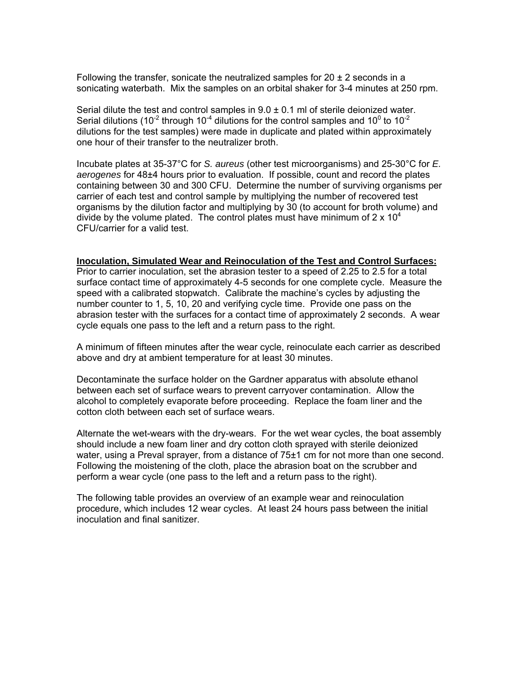Following the transfer, sonicate the neutralized samples for  $20 \pm 2$  seconds in a sonicating waterbath. Mix the samples on an orbital shaker for 3-4 minutes at 250 rpm.

Serial dilute the test and control samples in  $9.0 \pm 0.1$  ml of sterile deionized water. Serial dilutions (10<sup>-2</sup> through 10<sup>-4</sup> dilutions for the control samples and 10<sup>0</sup> to 10<sup>-2</sup> dilutions for the test samples) were made in duplicate and plated within approximately one hour of their transfer to the neutralizer broth.

Incubate plates at 35-37°C for *S. aureus* (other test microorganisms) and 25-30°C for *E. aerogenes* for 48±4 hours prior to evaluation. If possible, count and record the plates containing between 30 and 300 CFU. Determine the number of surviving organisms per carrier of each test and control sample by multiplying the number of recovered test organisms by the dilution factor and multiplying by 30 (to account for broth volume) and divide by the volume plated. The control plates must have minimum of  $2 \times 10^4$ CFU/carrier for a valid test.

#### **Inoculation, Simulated Wear and Reinoculation of the Test and Control Surfaces:**

Prior to carrier inoculation, set the abrasion tester to a speed of 2.25 to 2.5 for a total surface contact time of approximately 4-5 seconds for one complete cycle. Measure the speed with a calibrated stopwatch. Calibrate the machine's cycles by adjusting the number counter to 1, 5, 10, 20 and verifying cycle time. Provide one pass on the abrasion tester with the surfaces for a contact time of approximately 2 seconds. A wear cycle equals one pass to the left and a return pass to the right.

A minimum of fifteen minutes after the wear cycle, reinoculate each carrier as described above and dry at ambient temperature for at least 30 minutes.

Decontaminate the surface holder on the Gardner apparatus with absolute ethanol between each set of surface wears to prevent carryover contamination. Allow the alcohol to completely evaporate before proceeding. Replace the foam liner and the cotton cloth between each set of surface wears.

Alternate the wet-wears with the dry-wears. For the wet wear cycles, the boat assembly should include a new foam liner and dry cotton cloth sprayed with sterile deionized water, using a Preval sprayer, from a distance of 75±1 cm for not more than one second. Following the moistening of the cloth, place the abrasion boat on the scrubber and perform a wear cycle (one pass to the left and a return pass to the right).

The following table provides an overview of an example wear and reinoculation procedure, which includes 12 wear cycles. At least 24 hours pass between the initial inoculation and final sanitizer.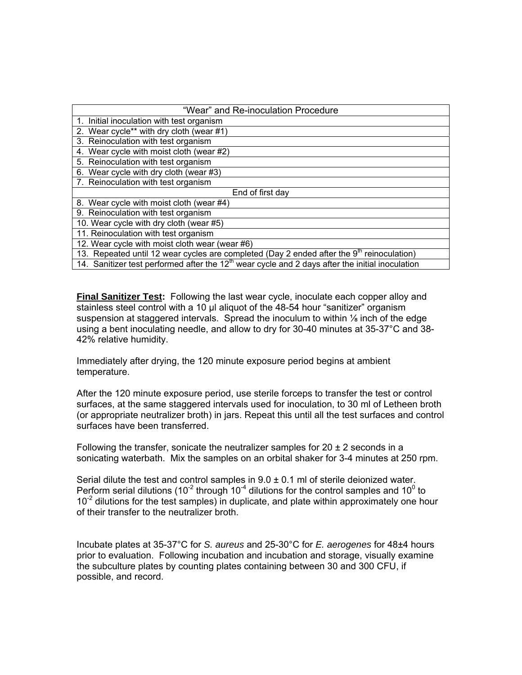| "Wear" and Re-inoculation Procedure                                                                   |
|-------------------------------------------------------------------------------------------------------|
| 1. Initial inoculation with test organism                                                             |
| 2. Wear cycle** with dry cloth (wear #1)                                                              |
| 3. Reinoculation with test organism                                                                   |
| 4. Wear cycle with moist cloth (wear #2)                                                              |
| 5. Reinoculation with test organism                                                                   |
| 6. Wear cycle with dry cloth (wear #3)                                                                |
| 7. Reinoculation with test organism                                                                   |
| End of first day                                                                                      |
| 8. Wear cycle with moist cloth (wear #4)                                                              |
| 9. Reinoculation with test organism                                                                   |
| 10. Wear cycle with dry cloth (wear #5)                                                               |
| 11. Reinoculation with test organism                                                                  |
| 12. Wear cycle with moist cloth wear (wear #6)                                                        |
| 13. Repeated until 12 wear cycles are completed (Day 2 ended after the 9 <sup>th</sup> reinoculation) |
| 14. Sanitizer test performed after the $12th$ wear cycle and 2 days after the initial inoculation     |

**Final Sanitizer Test:** Following the last wear cycle, inoculate each copper alloy and stainless steel control with a 10 µl aliquot of the 48-54 hour "sanitizer" organism suspension at staggered intervals. Spread the inoculum to within  $\frac{1}{2}$  inch of the edge using a bent inoculating needle, and allow to dry for 30-40 minutes at 35-37°C and 38- 42% relative humidity.

Immediately after drying, the 120 minute exposure period begins at ambient temperature.

After the 120 minute exposure period, use sterile forceps to transfer the test or control surfaces, at the same staggered intervals used for inoculation, to 30 ml of Letheen broth (or appropriate neutralizer broth) in jars. Repeat this until all the test surfaces and control surfaces have been transferred.

Following the transfer, sonicate the neutralizer samples for  $20 \pm 2$  seconds in a sonicating waterbath. Mix the samples on an orbital shaker for 3-4 minutes at 250 rpm.

Serial dilute the test and control samples in  $9.0 \pm 0.1$  ml of sterile deionized water. Perform serial dilutions (10<sup>-2</sup> through 10<sup>-4</sup> dilutions for the control samples and 10<sup>0</sup> to  $10^{-2}$  dilutions for the test samples) in duplicate, and plate within approximately one hour of their transfer to the neutralizer broth.

Incubate plates at 35-37°C for *S. aureus* and 25-30°C for *E. aerogenes* for 48±4 hours prior to evaluation. Following incubation and incubation and storage, visually examine the subculture plates by counting plates containing between 30 and 300 CFU, if possible, and record.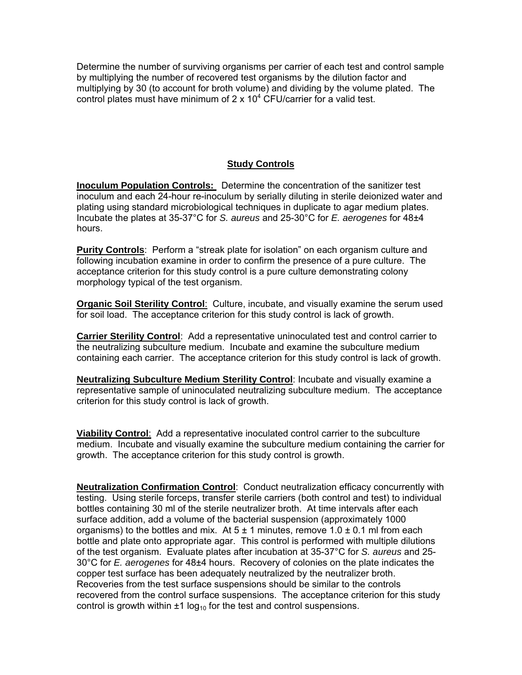Determine the number of surviving organisms per carrier of each test and control sample by multiplying the number of recovered test organisms by the dilution factor and multiplying by 30 (to account for broth volume) and dividing by the volume plated. The control plates must have minimum of 2 x  $10<sup>4</sup>$  CFU/carrier for a valid test.

# **Study Controls**

**Inoculum Population Controls:** Determine the concentration of the sanitizer test inoculum and each 24-hour re-inoculum by serially diluting in sterile deionized water and plating using standard microbiological techniques in duplicate to agar medium plates. Incubate the plates at 35-37°C for *S. aureus* and 25-30°C for *E. aerogenes* for 48±4 hours.

**Purity Controls**: Perform a "streak plate for isolation" on each organism culture and following incubation examine in order to confirm the presence of a pure culture. The acceptance criterion for this study control is a pure culture demonstrating colony morphology typical of the test organism.

**Organic Soil Sterility Control:** Culture, incubate, and visually examine the serum used for soil load. The acceptance criterion for this study control is lack of growth.

**Carrier Sterility Control**: Add a representative uninoculated test and control carrier to the neutralizing subculture medium. Incubate and examine the subculture medium containing each carrier. The acceptance criterion for this study control is lack of growth.

**Neutralizing Subculture Medium Sterility Control**: Incubate and visually examine a representative sample of uninoculated neutralizing subculture medium. The acceptance criterion for this study control is lack of growth.

**Viability Control**: Add a representative inoculated control carrier to the subculture medium. Incubate and visually examine the subculture medium containing the carrier for growth. The acceptance criterion for this study control is growth.

**Neutralization Confirmation Control**: Conduct neutralization efficacy concurrently with testing. Using sterile forceps, transfer sterile carriers (both control and test) to individual bottles containing 30 ml of the sterile neutralizer broth. At time intervals after each surface addition, add a volume of the bacterial suspension (approximately 1000 organisms) to the bottles and mix. At  $5 \pm 1$  minutes, remove  $1.0 \pm 0.1$  ml from each bottle and plate onto appropriate agar. This control is performed with multiple dilutions of the test organism. Evaluate plates after incubation at 35-37°C for *S. aureus* and 25- 30°C for *E. aerogenes* for 48±4 hours. Recovery of colonies on the plate indicates the copper test surface has been adequately neutralized by the neutralizer broth. Recoveries from the test surface suspensions should be similar to the controls recovered from the control surface suspensions. The acceptance criterion for this study control is growth within  $\pm 1 \log_{10}$  for the test and control suspensions.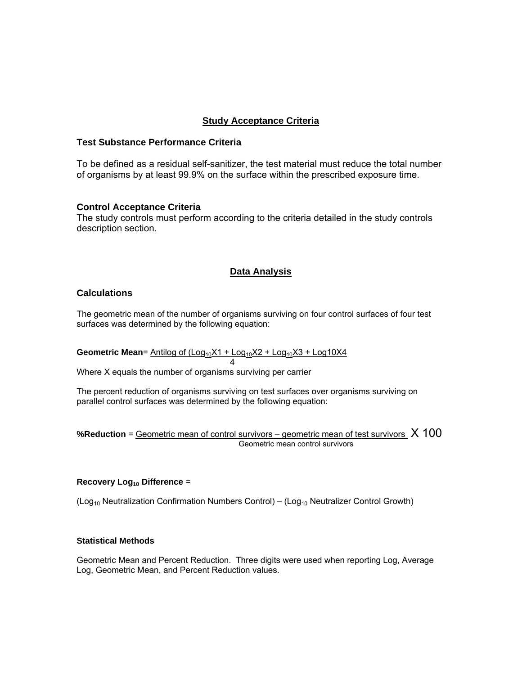### **Study Acceptance Criteria**

#### **Test Substance Performance Criteria**

To be defined as a residual self-sanitizer, the test material must reduce the total number of organisms by at least 99.9% on the surface within the prescribed exposure time.

#### **Control Acceptance Criteria**

The study controls must perform according to the criteria detailed in the study controls description section.

#### **Data Analysis**

#### **Calculations**

The geometric mean of the number of organisms surviving on four control surfaces of four test surfaces was determined by the following equation:

Geometric Mean= Antilog of (Log<sub>10</sub>X1 + Log<sub>10</sub>X2 + Log<sub>10</sub>X3 + Log10X4

Where X equals the number of organisms surviving per carrier

4

The percent reduction of organisms surviving on test surfaces over organisms surviving on parallel control surfaces was determined by the following equation:

**%Reduction** = Geometric mean of control survivors – geometric mean of test survivors X 100 Geometric mean control survivors

#### **Recovery Log<sub>10</sub> Difference =**

 $(Log<sub>10</sub> Neutralization Confirmation Numbers Control) – (Log<sub>10</sub> Neutralizer Control Growth)$ 

#### **Statistical Methods**

Geometric Mean and Percent Reduction. Three digits were used when reporting Log, Average Log, Geometric Mean, and Percent Reduction values.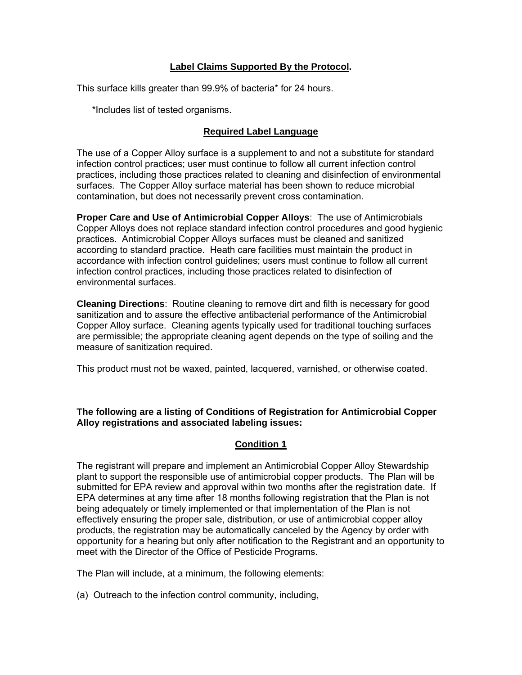# **Label Claims Supported By the Protocol.**

This surface kills greater than 99.9% of bacteria\* for 24 hours.

\*Includes list of tested organisms.

### **Required Label Language**

The use of a Copper Alloy surface is a supplement to and not a substitute for standard infection control practices; user must continue to follow all current infection control practices, including those practices related to cleaning and disinfection of environmental surfaces. The Copper Alloy surface material has been shown to reduce microbial contamination, but does not necessarily prevent cross contamination.

**Proper Care and Use of Antimicrobial Copper Alloys**: The use of Antimicrobials Copper Alloys does not replace standard infection control procedures and good hygienic practices. Antimicrobial Copper Alloys surfaces must be cleaned and sanitized according to standard practice. Heath care facilities must maintain the product in accordance with infection control guidelines; users must continue to follow all current infection control practices, including those practices related to disinfection of environmental surfaces.

**Cleaning Directions**: Routine cleaning to remove dirt and filth is necessary for good sanitization and to assure the effective antibacterial performance of the Antimicrobial Copper Alloy surface. Cleaning agents typically used for traditional touching surfaces are permissible; the appropriate cleaning agent depends on the type of soiling and the measure of sanitization required.

This product must not be waxed, painted, lacquered, varnished, or otherwise coated.

### **The following are a listing of Conditions of Registration for Antimicrobial Copper Alloy registrations and associated labeling issues:**

### **Condition 1**

The registrant will prepare and implement an Antimicrobial Copper Alloy Stewardship plant to support the responsible use of antimicrobial copper products. The Plan will be submitted for EPA review and approval within two months after the registration date. If EPA determines at any time after 18 months following registration that the Plan is not being adequately or timely implemented or that implementation of the Plan is not effectively ensuring the proper sale, distribution, or use of antimicrobial copper alloy products, the registration may be automatically canceled by the Agency by order with opportunity for a hearing but only after notification to the Registrant and an opportunity to meet with the Director of the Office of Pesticide Programs.

The Plan will include, at a minimum, the following elements:

(a) Outreach to the infection control community, including,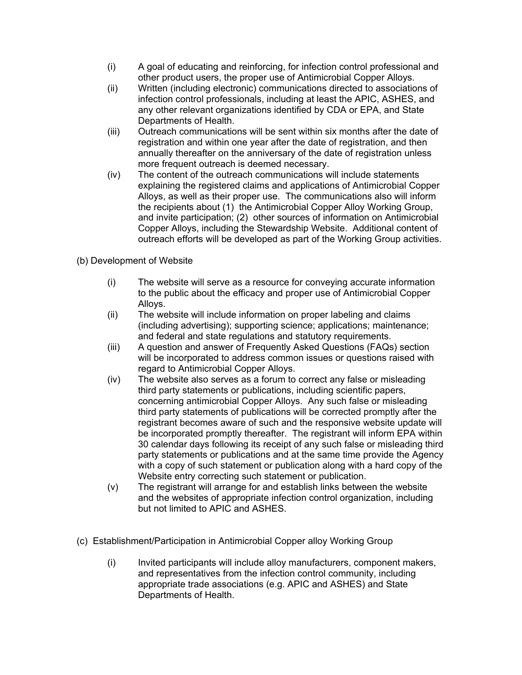- (i) A goal of educating and reinforcing, for infection control professional and other product users, the proper use of Antimicrobial Copper Alloys.
- (ii) Written (including electronic) communications directed to associations of infection control professionals, including at least the APIC, ASHES, and any other relevant organizations identified by CDA or EPA, and State Departments of Health.
- (iii) Outreach communications will be sent within six months after the date of registration and within one year after the date of registration, and then annually thereafter on the anniversary of the date of registration unless more frequent outreach is deemed necessary.
- (iv) The content of the outreach communications will include statements explaining the registered claims and applications of Antimicrobial Copper Alloys, as well as their proper use. The communications also will inform the recipients about (1) the Antimicrobial Copper Alloy Working Group, and invite participation; (2) other sources of information on Antimicrobial Copper Alloys, including the Stewardship Website. Additional content of outreach efforts will be developed as part of the Working Group activities.
- (b) Development of Website
	- (i) The website will serve as a resource for conveying accurate information to the public about the efficacy and proper use of Antimicrobial Copper Alloys.
	- (ii) The website will include information on proper labeling and claims (including advertising); supporting science; applications; maintenance; and federal and state regulations and statutory requirements.
	- (iii) A question and answer of Frequently Asked Questions (FAQs) section will be incorporated to address common issues or questions raised with regard to Antimicrobial Copper Alloys.
	- (iv) The website also serves as a forum to correct any false or misleading third party statements or publications, including scientific papers, concerning antimicrobial Copper Alloys. Any such false or misleading third party statements of publications will be corrected promptly after the registrant becomes aware of such and the responsive website update will be incorporated promptly thereafter. The registrant will inform EPA within 30 calendar days following its receipt of any such false or misleading third party statements or publications and at the same time provide the Agency with a copy of such statement or publication along with a hard copy of the Website entry correcting such statement or publication.
	- (v) The registrant will arrange for and establish links between the website and the websites of appropriate infection control organization, including but not limited to APIC and ASHES.
- (c) Establishment/Participation in Antimicrobial Copper alloy Working Group
	- (i) Invited participants will include alloy manufacturers, component makers, and representatives from the infection control community, including appropriate trade associations (e.g. APIC and ASHES) and State Departments of Health.